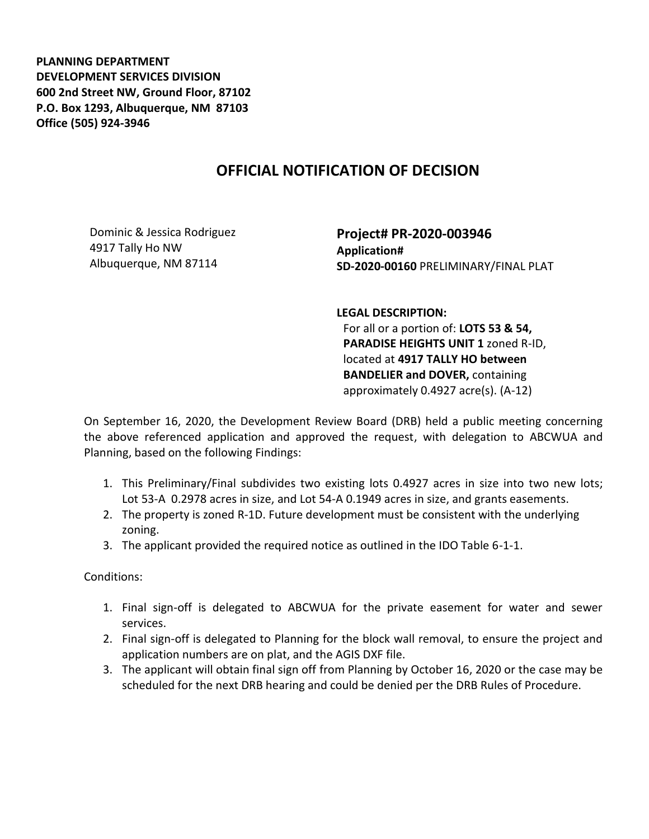**PLANNING DEPARTMENT DEVELOPMENT SERVICES DIVISION 600 2nd Street NW, Ground Floor, 87102 P.O. Box 1293, Albuquerque, NM 87103 Office (505) 924-3946** 

## **OFFICIAL NOTIFICATION OF DECISION**

Dominic & Jessica Rodriguez 4917 Tally Ho NW Albuquerque, NM 87114

**Project# PR-2020-003946 Application# SD-2020-00160** PRELIMINARY/FINAL PLAT

**LEGAL DESCRIPTION:**

For all or a portion of: **LOTS 53 & 54, PARADISE HEIGHTS UNIT 1** zoned R-ID, located at **4917 TALLY HO between BANDELIER and DOVER,** containing approximately 0.4927 acre(s). (A-12)

On September 16, 2020, the Development Review Board (DRB) held a public meeting concerning the above referenced application and approved the request, with delegation to ABCWUA and Planning, based on the following Findings:

- 1. This Preliminary/Final subdivides two existing lots 0.4927 acres in size into two new lots; Lot 53-A 0.2978 acres in size, and Lot 54-A 0.1949 acres in size, and grants easements.
- 2. The property is zoned R-1D. Future development must be consistent with the underlying zoning.
- 3. The applicant provided the required notice as outlined in the IDO Table 6-1-1.

Conditions:

- 1. Final sign-off is delegated to ABCWUA for the private easement for water and sewer services.
- 2. Final sign-off is delegated to Planning for the block wall removal, to ensure the project and application numbers are on plat, and the AGIS DXF file.
- 3. The applicant will obtain final sign off from Planning by October 16, 2020 or the case may be scheduled for the next DRB hearing and could be denied per the DRB Rules of Procedure.